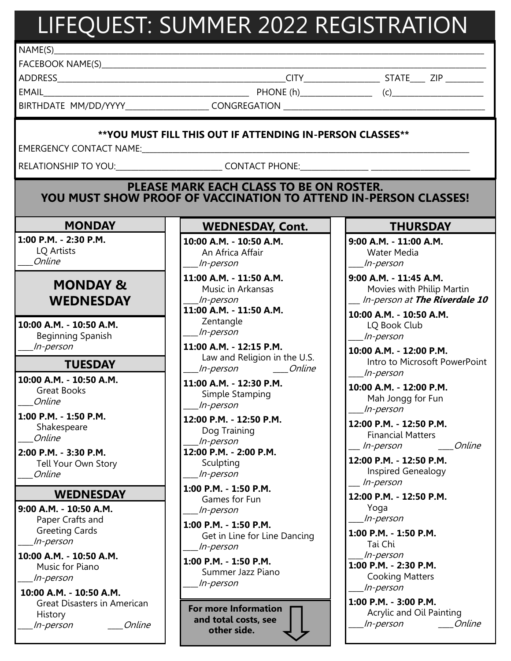# LIFEQUEST: SUMMER 2022 REGISTRATION

 $NAME(S)$ 

FACEBOOK NAME(S)\_\_\_\_\_\_\_\_\_\_\_\_\_\_\_\_\_\_\_\_\_\_\_\_\_\_\_\_\_\_\_\_\_\_\_\_\_\_\_\_\_\_\_\_\_\_\_\_\_\_\_\_\_\_\_\_\_\_\_\_\_\_\_\_\_\_\_\_\_\_\_\_\_\_\_\_\_\_\_\_\_\_\_\_\_\_\_\_\_\_\_\_\_\_\_\_\_\_\_\_\_

EMAIL\_\_\_\_\_\_\_\_\_\_\_\_\_\_\_\_\_\_\_\_\_\_\_\_\_\_\_\_\_\_\_\_\_\_\_\_\_\_\_\_\_\_\_\_\_\_\_\_\_\_\_\_\_\_ PHONE (h)\_\_\_\_\_\_\_\_\_\_\_\_\_\_\_\_\_\_\_ (c)\_\_\_\_\_\_\_\_\_\_\_\_\_\_\_\_\_\_\_\_\_\_\_\_

ADDRESS\_\_\_\_\_\_\_\_\_\_\_\_\_\_\_\_\_\_\_\_\_\_\_\_\_\_\_\_\_\_\_\_\_\_\_\_\_\_\_\_\_\_\_\_\_\_\_\_\_\_\_\_\_\_\_\_\_\_\_\_CITY\_\_\_\_\_\_\_\_\_\_\_\_\_\_\_\_\_\_\_\_ STATE\_\_\_\_ ZIP \_\_\_\_\_\_\_\_\_\_

BIRTHDATE MM/DD/YYYY\_\_\_\_\_\_\_\_\_\_\_\_\_\_\_\_\_\_\_\_\_\_ CONGREGATION \_\_\_\_\_\_\_\_\_\_\_\_\_\_\_\_\_\_\_\_\_\_\_\_\_\_\_\_\_\_\_\_\_\_\_\_\_\_\_\_\_\_\_\_\_\_\_\_\_\_\_\_\_

### **\*\*YOU MUST FILL THIS OUT IF ATTENDING IN-PERSON CLASSES\*\***

EMERGENCY CONTACT NAME:\_\_\_\_\_\_\_\_\_\_\_\_\_\_\_\_\_\_\_\_\_\_\_\_\_\_\_\_\_\_\_\_\_\_\_\_\_\_\_\_\_\_\_\_\_\_\_\_\_\_\_\_\_\_\_\_\_\_\_\_\_\_\_\_\_\_\_\_\_\_\_\_\_\_\_\_\_\_\_\_\_\_\_\_\_\_

RELATIONSHIP TO YOU: The contract phone:

## **PLEASE MARK EACH CLASS TO BE ON ROSTER. YOU MUST SHOW PROOF OF VACCINATION TO ATTEND IN-PERSON CLASSES!**

## **MONDAY**

**1:00 P.M. - 2:30 P.M.** LQ Artists \_\_\_\_Online

# **MONDAY & WEDNESDAY**

**10:00 A.M. - 10:50 A.M.** Beginning Spanish \_\_\_\_In-person

## **TUESDAY**

**10:00 A.M. - 10:50 A.M.** Great Books \_\_\_\_Online

**1:00 P.M. - 1:50 P.M.** Shakespeare \_\_\_\_Online

**2:00 P.M. - 3:30 P.M.** Tell Your Own Story \_\_\_\_Online

#### **WEDNESDAY**

**9:00 A.M. - 10:50 A.M.** Paper Crafts and Greeting Cards \_\_\_\_In-person

**10:00 A.M. - 10:50 A.M.** Music for Piano \_\_\_\_In-person

**10:00 A.M. - 10:50 A.M.** Great Disasters in American History \_\_\_\_In-person \_\_\_\_Online **WEDNESDAY, Cont.**

**10:00 A.M. - 10:50 A.M.** An Africa Affair \_\_\_\_In-person

**11:00 A.M. - 11:50 A.M.** Music in Arkansas \_\_\_\_In-person

**11:00 A.M. - 11:50 A.M.** Zentangle \_\_\_\_In-person

**11:00 A.M. - 12:15 P.M.** Law and Religion in the U.S. \_\_\_\_In-person \_\_\_\_Online

**11:00 A.M. - 12:30 P.M.** Simple Stamping \_\_\_\_In-person

**12:00 P.M. - 12:50 P.M.** Dog Training \_\_\_\_In-person **12:00 P.M. - 2:00 P.M.** Sculpting \_\_\_\_In-person

**1:00 P.M. - 1:50 P.M.** Games for Fun \_\_\_\_In-person

**1:00 P.M. - 1:50 P.M.** Get in Line for Line Dancing \_\_\_\_In-person

**1:00 P.M. - 1:50 P.M.** Summer Jazz Piano \_\_\_\_In-person

**For more Information and total costs, see other side.**

## **THURSDAY**

**9:00 A.M. - 11:00 A.M.** Water Media \_\_\_\_In-person

**9:00 A.M. - 11:45 A.M.** Movies with Philip Martin \_\_\_ In-person at **The Riverdale 10**

**10:00 A.M. - 10:50 A.M.** LQ Book Club \_\_\_\_In-person

**10:00 A.M. - 12:00 P.M.** Intro to Microsoft PowerPoint \_\_\_\_In-person

**10:00 A.M. - 12:00 P.M.** Mah Jongg for Fun \_\_\_\_In-person

**12:00 P.M. - 12:50 P.M.** Financial Matters \_\_\_ In-person \_\_\_\_Online

**12:00 P.M. - 12:50 P.M.** Inspired Genealogy \_\_\_ In-person

**12:00 P.M. - 12:50 P.M.**  Yoga \_\_\_\_In-person

**1:00 P.M. - 1:50 P.M.** Tai Chi \_\_\_\_In-person **1:00 P.M. - 2:30 P.M.** Cooking Matters \_\_\_\_In-person

**1:00 P.M. - 3:00 P.M.** Acrylic and Oil Painting \_\_\_\_In-person \_\_\_\_Online